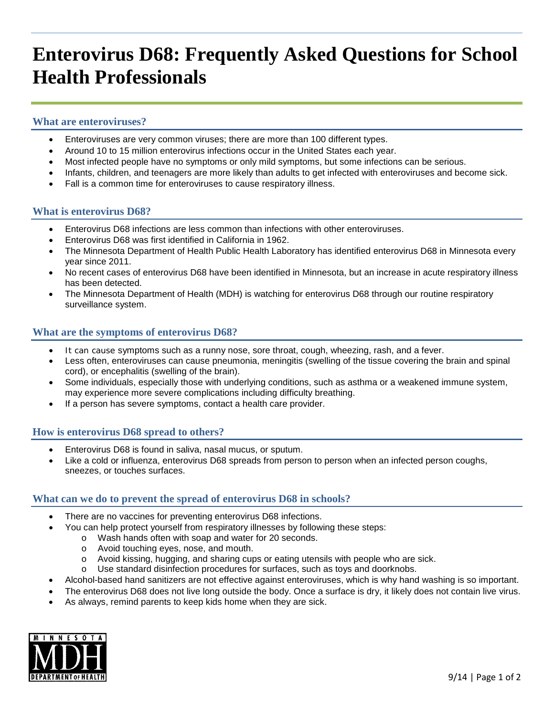# **Enterovirus D68: Frequently Asked Questions for School Health Professionals**

# **What are enteroviruses?**

- Enteroviruses are very common viruses; there are more than 100 different types.
- Around 10 to 15 million enterovirus infections occur in the United States each year.
- Most infected people have no symptoms or only mild symptoms, but some infections can be serious.
- Infants, children, and teenagers are more likely than adults to get infected with enteroviruses and become sick.
- Fall is a common time for enteroviruses to cause respiratory illness.

## **What is enterovirus D68?**

- Enterovirus D68 infections are less common than infections with other enteroviruses.
- Enterovirus D68 was first identified in California in 1962.
- The Minnesota Department of Health Public Health Laboratory has identified enterovirus D68 in Minnesota every year since 2011.
- No recent cases of enterovirus D68 have been identified in Minnesota, but an increase in acute respiratory illness has been detected.
- The Minnesota Department of Health (MDH) is watching for enterovirus D68 through our routine respiratory surveillance system.

## **What are the symptoms of enterovirus D68?**

- It can cause symptoms such as a runny nose, sore throat, cough, wheezing, rash, and a fever.
- Less often, enteroviruses can cause pneumonia, meningitis (swelling of the tissue covering the brain and spinal cord), or encephalitis (swelling of the brain).
- Some individuals, especially those with underlying conditions, such as asthma or a weakened immune system, may experience more severe complications including difficulty breathing.
- If a person has severe symptoms, contact a health care provider.

#### **How is enterovirus D68 spread to others?**

- Enterovirus D68 is found in saliva, nasal mucus, or sputum.
- Like a cold or influenza, enterovirus D68 spreads from person to person when an infected person coughs, sneezes, or touches surfaces.

#### **What can we do to prevent the spread of enterovirus D68 in schools?**

- There are no vaccines for preventing enterovirus D68 infections.
- You can help protect yourself from respiratory illnesses by following these steps:
	- o Wash hands often with soap and water for 20 seconds.
	- o Avoid touching eyes, nose, and mouth.
	- o Avoid kissing, hugging, and sharing cups or eating utensils with people who are sick.
	- o Use standard disinfection procedures for surfaces, such as toys and doorknobs.
- Alcohol-based hand sanitizers are not effective against enteroviruses, which is why hand washing is so important.
- The enterovirus D68 does not live long outside the body. Once a surface is dry, it likely does not contain live virus.
- As always, remind parents to keep kids home when they are sick.